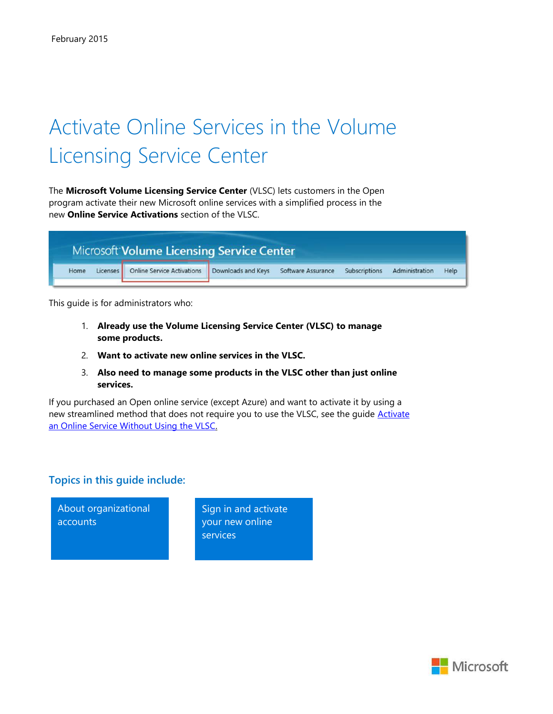# Activate Online Services in the Volume Licensing Service Center

The **Microsoft Volume Licensing Service Center** (VLSC) lets customers in the Open program activate their new Microsoft online services with a simplified process in the new **Online Service Activations** section of the VLSC.

|                  | Microsoft Volume Licensing Service Center                                                       |  |  |  |  |      |  |
|------------------|-------------------------------------------------------------------------------------------------|--|--|--|--|------|--|
| Licenses<br>Home | Online Service Activations   Downloads and Keys Software Assurance Subscriptions Administration |  |  |  |  | Help |  |

This guide is for administrators who:

- 1. **Already use the Volume Licensing Service Center (VLSC) to manage some products.**
- 2. **Want to activate new online services in the VLSC.**
- 3. **Also need to manage some products in the VLSC other than just online services.**

If you purchased an Open online service (except Azure) and want to activate it by using a new streamlined method that does not require you to use the VLSC, see the quide [Activate](http://www.microsoft.com/en-us/download/details.aspx?id=44945) [an Online Service Without Using the VLSC.](http://www.microsoft.com/en-us/download/details.aspx?id=44945)

#### **Topics in this guide include:**

About organizational accounts

Sign in and activate your new online services

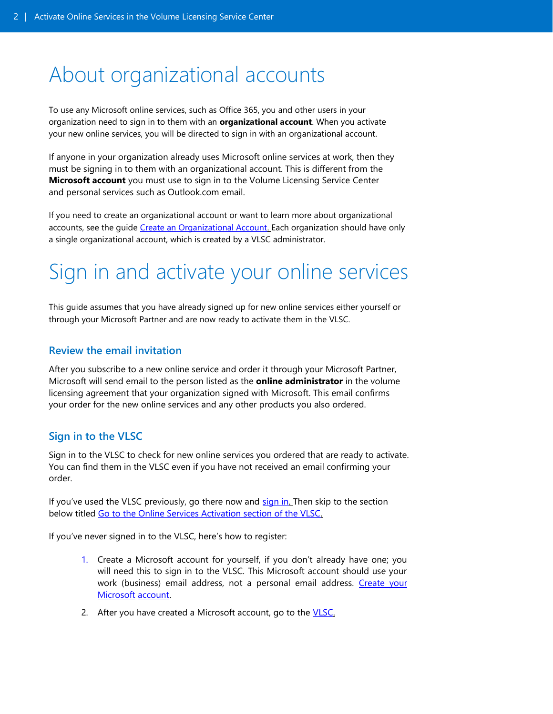## <span id="page-1-0"></span>About organizational accounts

To use any Microsoft online services, such as Office 365, you and other users in your organization need to sign in to them with an **organizational account**. When you activate your new online services, you will be directed to sign in with an organizational account.

If anyone in your organization already uses Microsoft online services at work, then they must be signing in to them with an organizational account. This is different from the **Microsoft account** you must use to sign in to the Volume Licensing Service Center and personal services such as Outlook.com email.

If you need to create an organizational account or want to learn more about organizational accounts, see the guide [Create an Organizational Account. E](http://www.microsoft.com/en-us/download/details.aspx?id=44944)ach organization should have only a single organizational account, which is created by a VLSC administrator.

# Sign in and activate your online services

This guide assumes that you have already signed up for new online services either yourself or through your Microsoft Partner and are now ready to activate them in the VLSC.

#### **Review the email invitation**

After you subscribe to a new online service and order it through your Microsoft Partner, Microsoft will send email to the person listed as the **online administrator** in the volume licensing agreement that your organization signed with Microsoft. This email confirms your order for the new online services and any other products you also ordered.

### **Sign in to the VLSC**

Sign in to the VLSC to check for new online services you ordered that are ready to activate. You can find them in the VLSC even if you have not received an email confirming your order.

If you've used the VLSC previously, go there now and [sign in. T](https://www.microsoft.com/Licensing/servicecenter/default.aspx)hen skip to the section below titled [Go to the Online Services Activation section of the VLSC.](#page-3-0)

If you've never signed in to the VLSC, here's how to register:

- 1. Create a Microsoft account for yourself, if you don't already have one; you will need this to sign in to the VLSC. This Microsoft account should use your work (business) email address, not a personal email address. Create your [Microsoft](http://windows.microsoft.com/en-us/windows-live/sign-up-create-account-how) [account.](http://windows.microsoft.com/en-us/windows-live/sign-up-create-account-how)
- 2. After you have created a Microsoft account, go to the **VLSC**.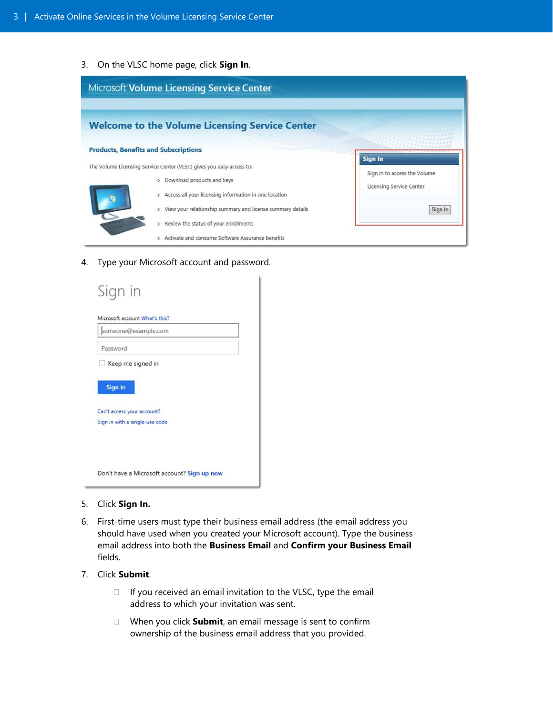3. On the VLSC home page, click **Sign In**.



4. Type your Microsoft account and password.

| Microsoft account What's this?<br>someone@example.com        |  |
|--------------------------------------------------------------|--|
| Password                                                     |  |
| Keep me signed in                                            |  |
|                                                              |  |
| <b>Sign in</b>                                               |  |
|                                                              |  |
|                                                              |  |
| Can't access your account?<br>Sign in with a single-use code |  |

- 5. Click **Sign In.**
- 6. First-time users must type their business email address (the email address you should have used when you created your Microsoft account). Type the business email address into both the **Business Email** and **Confirm your Business Email** fields.
- 7. Click **Submit**.
	- $\Box$  If you received an email invitation to the VLSC, type the email address to which your invitation was sent.
	- When you click **Submit**, an email message is sent to confirm ownership of the business email address that you provided.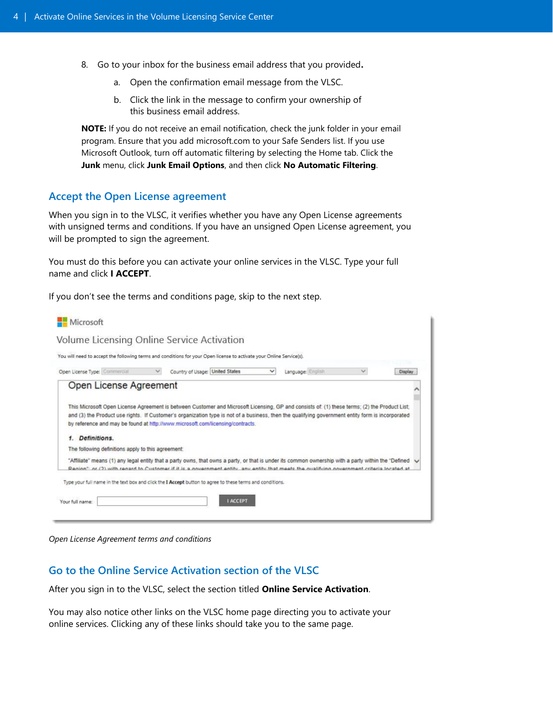- <span id="page-3-0"></span>8. Go to your inbox for the business email address that you provided**.**
	- a. Open the confirmation email message from the VLSC.
	- b. Click the link in the message to confirm your ownership of this business email address.

**NOTE:** If you do not receive an email notification, check the junk folder in your email program. Ensure that you add microsoft.com to your Safe Senders list. If you use Microsoft Outlook, turn off automatic filtering by selecting the Home tab. Click the **Junk** menu, click **Junk Email Options**, and then click **No Automatic Filtering**.

#### **Accept the Open License agreement**

When you sign in to the VLSC, it verifies whether you have any Open License agreements with unsigned terms and conditions. If you have an unsigned Open License agreement, you will be prompted to sign the agreement.

You must do this before you can activate your online services in the VLSC. Type your full name and click **I ACCEPT**.

If you don't see the terms and conditions page, skip to the next step.

|                                                    |              | Volume Licensing Online Service Activation                                                                                                                 |              |                   |              |         |
|----------------------------------------------------|--------------|------------------------------------------------------------------------------------------------------------------------------------------------------------|--------------|-------------------|--------------|---------|
|                                                    |              | You will need to accept the following terms and conditions for your Open license to activate your Online Service(s).                                       |              |                   |              |         |
| Open License Type: Commercial                      | $\checkmark$ | Country of Usage: United States                                                                                                                            | $\checkmark$ | Language: English | $\checkmark$ | Display |
| Open License Agreement                             |              |                                                                                                                                                            |              |                   |              |         |
|                                                    |              |                                                                                                                                                            |              |                   |              |         |
|                                                    |              |                                                                                                                                                            |              |                   |              |         |
|                                                    |              | This Microsoft Open License Agreement is between Customer and Microsoft Licensing, GP and consists of: (1) these terms; (2) the Product List;              |              |                   |              |         |
|                                                    |              | and (3) the Product use rights. If Customer's organization type is not of a business, then the qualifying government entity form is incorporated           |              |                   |              |         |
|                                                    |              | by reference and may be found at http://www.microsoft.com/licensing/contracts.                                                                             |              |                   |              |         |
| Definitions.                                       |              |                                                                                                                                                            |              |                   |              |         |
| The following definitions apply to this agreement: |              |                                                                                                                                                            |              |                   |              |         |
|                                                    |              | "Affiliate" means (1) any legal entity that a party owns, that owns a party, or that is under its common ownership with a party within the "Defined $\vee$ |              |                   |              |         |
|                                                    |              | Region": or (2) with regard to Customer if it is a government entity any entity that meets the qualifying government criteria located at                   |              |                   |              |         |
|                                                    |              |                                                                                                                                                            |              |                   |              |         |
|                                                    |              | Type your full name in the text box and click the I Accept button to agree to these terms and conditions.                                                  |              |                   |              |         |

*Open License Agreement terms and conditions*

#### **Go to the Online Service Activation section of the VLSC**

After you sign in to the VLSC, select the section titled **Online Service Activation**.

You may also notice other links on the VLSC home page directing you to activate your online services. Clicking any of these links should take you to the same page.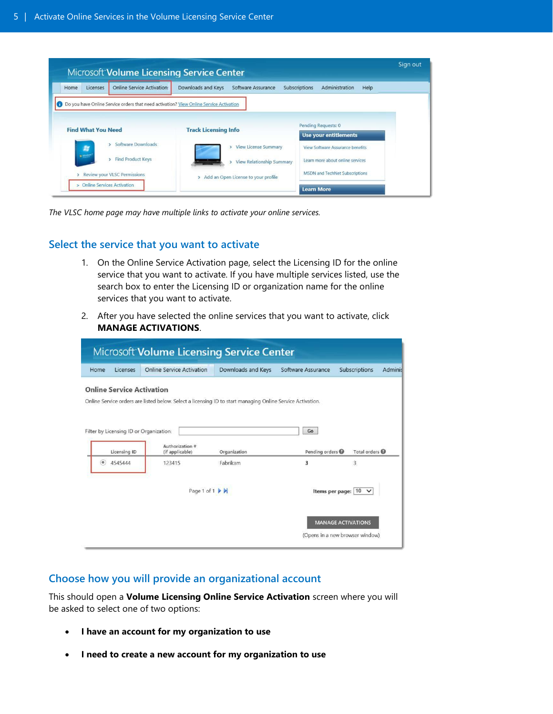|      | <b>Microsoft Volume Licensing Service Center</b>                                                    |                                                                                          |                                                                           | Sign out |
|------|-----------------------------------------------------------------------------------------------------|------------------------------------------------------------------------------------------|---------------------------------------------------------------------------|----------|
| Home | Online Service Activation:<br><b>Licenses</b>                                                       | Downloads and Keys<br>Software Assurance                                                 | Subscriptions<br>Administration<br>Help                                   |          |
|      | Do you have Online Service orders that need activation? View Online Service Activation              |                                                                                          |                                                                           |          |
|      | <b>Find What You Need</b>                                                                           | <b>Track Licensing Info</b>                                                              | Pending Requests: 0                                                       |          |
|      | Software Downloads<br>Av <sub>a</sub>                                                               | <b>View License Summary</b>                                                              | <b>Use your entitlements</b><br><b>View Software Assurance benefits</b>   |          |
|      | <b>B Winkler</b><br><b>Find Product Keys</b><br>$\mathbf{v}$<br><b>Review your VLSC Permissions</b> | <b>View Relationship Summary</b><br>Add an Open License to your profile<br>$\rightarrow$ | Learn more about online services<br><b>MSDN</b> and TechNet Subscriptions |          |
| s.   | <b>Online Services Activation</b>                                                                   |                                                                                          | <b>Learn More</b>                                                         |          |

*The VLSC home page may have multiple links to activate your online services.*

#### **Select the service that you want to activate**

- 1. On the Online Service Activation page, select the Licensing ID for the online service that you want to activate. If you have multiple services listed, use the search box to enter the Licensing ID or organization name for the online services that you want to activate.
- 2. After you have selected the online services that you want to activate, click **MANAGE ACTIVATIONS**.

|                    |                                  | <b>Microsoft Volume Licensing Service Center</b>                                                           |                    |                      |                                                              |         |
|--------------------|----------------------------------|------------------------------------------------------------------------------------------------------------|--------------------|----------------------|--------------------------------------------------------------|---------|
| Home               | Licenses                         | <b>Online Service Activation</b>                                                                           | Downloads and Keys | Software Assurance   | Subscriptions                                                | Adminis |
|                    | <b>Online Service Activation</b> | Online Service orders are listed below. Select a licensing ID to start managing Online Service Activation. |                    |                      |                                                              |         |
|                    | <b>Licensing ID</b>              | Filter by Licensing ID or Organization:<br>Authorization #<br>(if applicable)                              | Organization       | Go<br>Pending orders | Total orders                                                 |         |
| $^\circleddiamond$ | 4545444                          | 123415                                                                                                     | Fabrikam           | з                    | 3                                                            |         |
|                    |                                  | Page 1 of 1 $\blacktriangleright$ $\blacktriangleright$                                                    |                    |                      | Items per page: 10                                           |         |
|                    |                                  |                                                                                                            |                    |                      | <b>MANAGE ACTIVATIONS</b><br>(Opens in a new browser window) |         |

### **Choose how you will provide an organizational account**

This should open a **Volume Licensing Online Service Activation** screen where you will be asked to select one of two options:

- **I have an account for my organization to use**
- **I need to create a new account for my organization to use**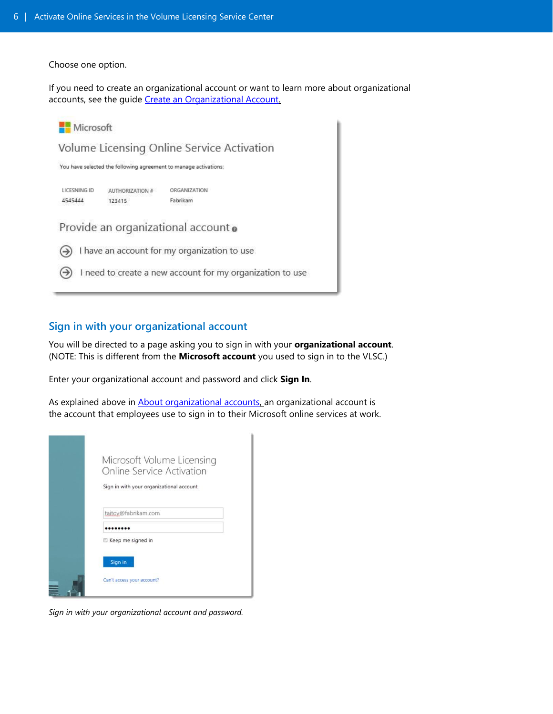Choose one option.

If you need to create an organizational account or want to learn more about organizational accounts, see the quide [Create an Organizational Account.](http://www.microsoft.com/en-us/download/details.aspx?id=44944)



### **Sign in with your organizational account**

You will be directed to a page asking you to sign in with your **organizational account**. (NOTE: This is different from the **Microsoft account** you used to sign in to the VLSC.)

Enter your organizational account and password and click **Sign In**.

As explained above in **About organizational accounts**, an organizational account is the account that employees use to sign in to their Microsoft online services at work.

| Microsoft Volume Licensing<br>Online Service Activation |
|---------------------------------------------------------|
| Sign in with your organizational account                |
| taitov@fabrikam.com                                     |
|                                                         |
| Keep me signed in<br>Sign in                            |
| Can't access your account?                              |

*Sign in with your organizational account and password.*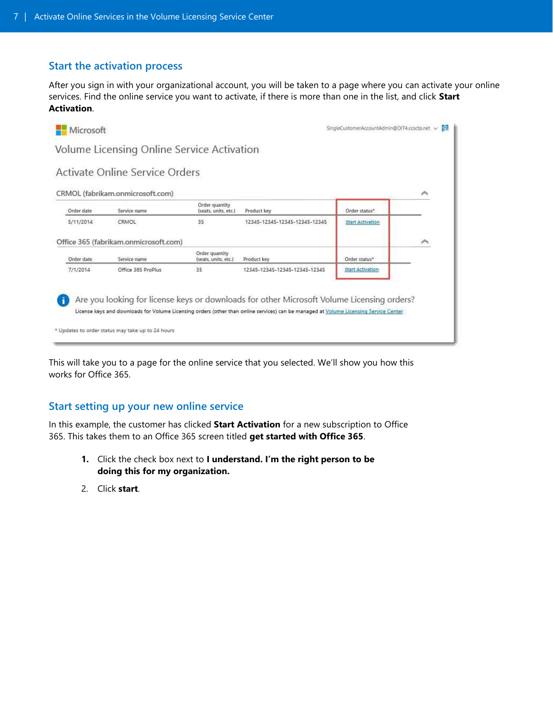#### **Start the activation process**

After you sign in with your organizational account, you will be taken to a page where you can activate your online services. Find the online service you want to activate, if there is more than one in the list, and click **Start Activation**.



This will take you to a page for the online service that you selected. We'll show you how this works for Office 365.

### **Start setting up your new online service**

In this example, the customer has clicked **Start Activation** for a new subscription to Office 365. This takes them to an Office 365 screen titled **get started with Office 365**.

- **1.** Click the check box next to **I understand. I'm the right person to be doing this for my organization.**
- 2. Click **start**.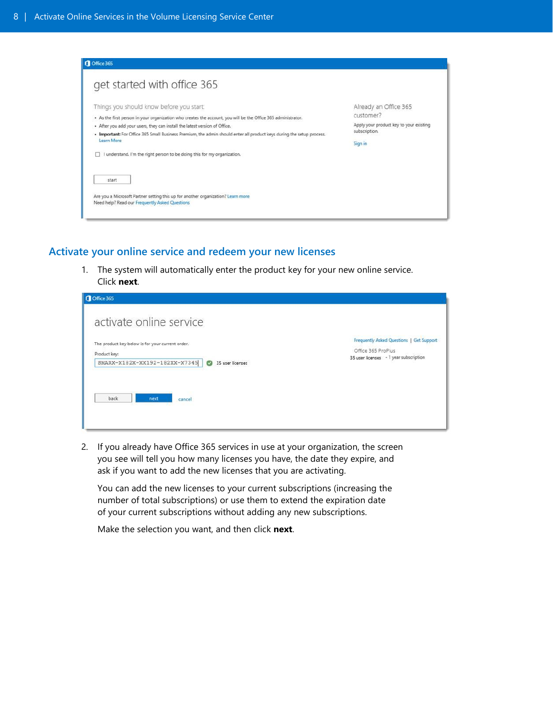| get started with office 365                                                                                                                                                                                                                                                                                                                                                    |                                                                                                           |
|--------------------------------------------------------------------------------------------------------------------------------------------------------------------------------------------------------------------------------------------------------------------------------------------------------------------------------------------------------------------------------|-----------------------------------------------------------------------------------------------------------|
| Things you should know before you start:<br>- As the first person in your organization who creates the account, you will be the Office 365 administrator.<br>• After you add your users, they can install the latest version of Office.<br>. Important: For Office 365 Small Business Premium, the admin should enter all product keys during the setup process.<br>Learn More | Already an Office 365<br>customer?<br>Apply your product key to your existing<br>subscription.<br>Sign in |
| I understand. I'm the right person to be doing this for my organization.<br>start<br>Are you a Microsoft Partner setting this up for another organization? Learn more<br>Need help? Read our Frequently Asked Questions                                                                                                                                                        |                                                                                                           |

#### **Activate your online service and redeem your new licenses**

1. The system will automatically enter the product key for your new online service. Click **next**.

| Office 365                                                                                                                                                    |                                                                                                          |
|---------------------------------------------------------------------------------------------------------------------------------------------------------------|----------------------------------------------------------------------------------------------------------|
| activate online service<br>The product key below is for your current order.<br>Product key:<br>SMARX-X182X-XX192-182XX-X7345<br>35 user licenses<br>$\bullet$ | Frequently Asked Questions   Get Support<br>Office 365 ProPlus<br>35 user licenses - 1 year subscription |
| back<br>next<br>cancel                                                                                                                                        |                                                                                                          |

2. If you already have Office 365 services in use at your organization, the screen you see will tell you how many licenses you have, the date they expire, and ask if you want to add the new licenses that you are activating.

You can add the new licenses to your current subscriptions (increasing the number of total subscriptions) or use them to extend the expiration date of your current subscriptions without adding any new subscriptions.

Make the selection you want, and then click **next**.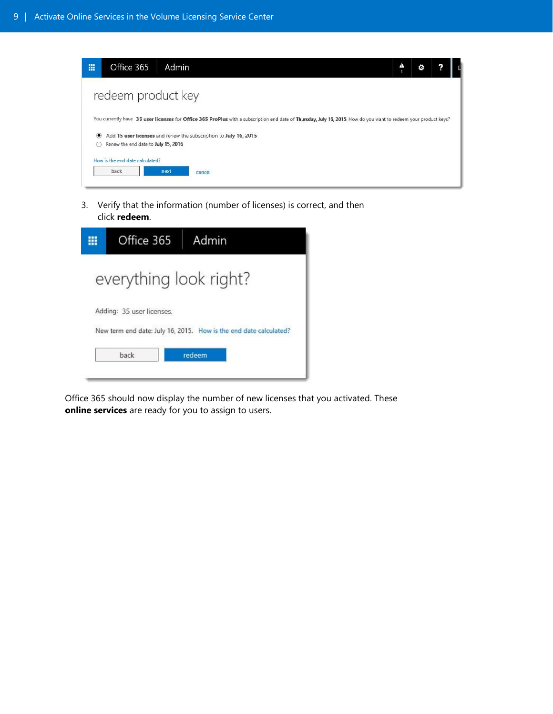| 冊                | Office 365<br>Admin                                                                                                                                                                                                                  | ٥ |  |
|------------------|--------------------------------------------------------------------------------------------------------------------------------------------------------------------------------------------------------------------------------------|---|--|
|                  | redeem product key                                                                                                                                                                                                                   |   |  |
| $\circledbullet$ | You currently have 35 user licenses for Office 365 ProPlus with a subscription end date of Thursday, July 16, 2015. How do you want to redeem your product keys?<br>Add 15 user licenses and renew the subscription to July 16, 2015 |   |  |
|                  | Renew the end date to July 15, 2016<br>How is the end date calculated?                                                                                                                                                               |   |  |
|                  | back<br>next<br>cancel                                                                                                                                                                                                               |   |  |

3. Verify that the information (number of licenses) is correct, and then click **redeem**.

| Office 365                                                        | Admin  |  |  |  |  |
|-------------------------------------------------------------------|--------|--|--|--|--|
| everything look right?                                            |        |  |  |  |  |
| Adding: 35 user licenses.                                         |        |  |  |  |  |
| New term end date: July 16, 2015. How is the end date calculated? |        |  |  |  |  |
| back                                                              | redeem |  |  |  |  |
|                                                                   |        |  |  |  |  |

Office 365 should now display the number of new licenses that you activated. These **online services** are ready for you to assign to users.